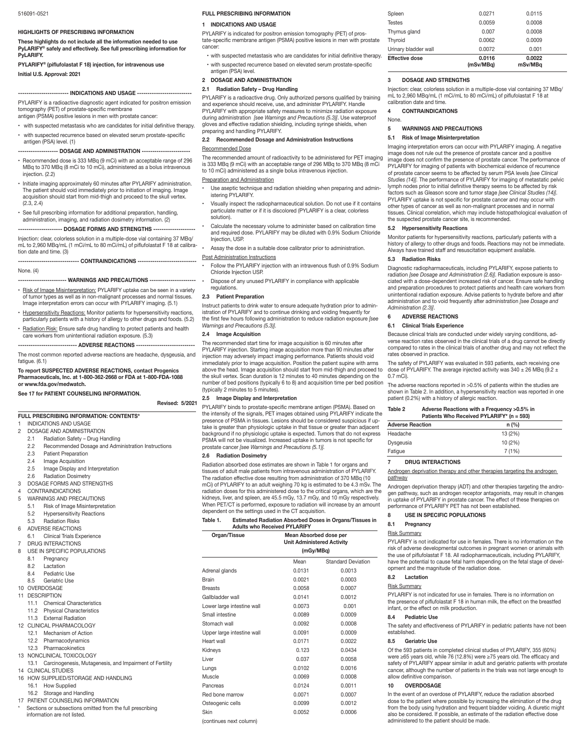#### **HIGHLIGHTS OF PRESCRIBING INFORMATION**

**These highlights do not include all the information needed to use PyLARIFY® safely and effectively. See full prescribing information for PyLARIFY.**

### **PYLARIFY® (piflufolastat F 18) injection, for intravenous use Initial U.S. Approval: 2021**

### **------------------------ INDICATIONS AND USAGE --------------------------**

PYLARIFY is a radioactive diagnostic agent indicated for positron emission tomography (PET) of prostate-specific membrane antigen (PSMA) positive lesions in men with prostate cancer:

- with suspected metastasis who are candidates for initial definitive therapy. with suspected recurrence based on elevated serum prostate-specific
- antigen (PSA) level. (1)

# **------------------- DOSAGE AND ADMINISTRATION -----------------------**

- Recommended dose is 333 MBq (9 mCi) with an acceptable range of 296 MBq to 370 MBq (8 mCi to 10 mCi), administered as a bolus intravenous injection. (2.2)
- Initiate imaging approximately 60 minutes after PYLARIFY administration. The patient should void immediately prior to initiation of imaging. Image acquisition should start from mid-thigh and proceed to the skull vertex. (2.3, 2.4)
- See full prescribing information for additional preparation, handling, administration, imaging, and radiation dosimetry information. (2)

# **--------------------- DOSAGE FORMS AND STRENGTHS --------------------** Injection: clear, colorless solution in a multiple-dose vial containing 37 MBq/

mL to 2,960 MBq/mL (1 mCi/mL to 80 mCi/mL) of piflufolastat F 18 at calibration date and time. (3)

### **----------------------------- CONTRAINDICATIONS ----------------------------**

### None. (4)

# **---- WARNINGS AND PRECAUTIONS ------**

- Risk of Image Misinterpretation: PYLARIFY uptake can be seen in a variety of tumor types as well as in non-malignant processes and normal tissues. Image interpretation errors can occur with PYLARIFY imaging. (5.1)
- Hypersensitivity Reactions: Monitor patients for hypersensitivity reactions, particularly patients with a history of allergy to other drugs and foods. (5.2)
- <u>Radiation Risk:</u> Ensure safe drug handling to protect patients and health care workers from unintentional radiation exposure. (5.3)

### **---------------------------- ADVERSE REACTIONS ----------------------------**

The most common reported adverse reactions are headache, dysgeusia, and fatigue. (6.1)

#### **To report SUSPECTED ADVERSE REACTIONS, contact Progenics Pharmaceuticals, Inc. at 1-800-362-2668 or FDA at 1-800-FDA-1088 or www.fda.gov/medwatch.**

#### **See 17 for PATIENT COUNSELING INFORMATION.**

### **Revised: 5/2021**

**FULL PRESCRIBING INFORMATION: CONTENTS\***

- 1 INDICATIONS AND USAGE
- 2 DOSAGE AND ADMINISTRATION
	- 2.1 Radiation Safety Drug Handling<br>2.2 Recommended Dosage and Admi
	- Recommended Dosage and Administration Instructions
	- 2.3 Patient Preparation
	- 2.4 Image Acquisition
	- 2.5 Image Display and Interpretation
	- 2.6 Radiation Dosimetry
- 3 DOSAGE FORMS AND STRENGTHS
- 4 CONTRAINDICATIONS
- 5 WARNINGS AND PRECAUTIONS
	- 5.1 Risk of Image Misinterpretation<br>5.2 Hypersensitivity Reactions
- Hypersensitivity Reactions
- 5.3 Radiation Risks
- 6 ADVERSE REACTIONS
- 6.1 Clinical Trials Experience
- DRUG INTERACTIONS 8 USE IN SPECIFIC POPULATIONS
- 
- 8.1 Pregnancy
- 8.2 Lactation<br>8.4 Pediatric
- Pediatric Use
- 8.5 Geriatric Use 10 OVERDOSAGE
- 11 DESCRIPTION
- 
- 11.1 Chemical Characteristics
- 11.2 Physical Characteristics
- 11.3 External Radiation
- 12 CLINICAL PHARMACOLOGY
- 12.1 Mechanism of Action
- 12.2 Pharmacodynamics
- 
- 12.3 Pharmacokinetics 13 NONCLINICAL TOXICOLOGY
- 13.1 Carcinogenesis, Mutagenesis, and Impairment of Fertility
- 14 CLINICAL STUDIES
- 16 HOW SUPPLIED/STORAGE AND HANDLING 16.1 How Supplied
- 16.2 Storage and Handling
- 17 PATIENT COUNSELING INFORMATION
- Sections or subsections omitted from the full prescribing
- information are not listed.

### **FULL PRESCRIBING INFORMATION**

# **1 INDICATIONS AND USAGE**

PYLARIFY is indicated for positron emission tomography (PET) of prostate-specific membrane antigen (PSMA) positive lesions in men with prostate cancer:

with suspected metastasis who are candidates for initial definitive therapy. with suspected recurrence based on elevated serum prostate-specific antigen (PSA) level.

### **2 DOSAGE AND ADMINISTRATION**

#### **2.1 Radiation Safety – Drug Handling**

PYLARIFY is a radioactive drug. Only authorized persons qualified by training and experience should receive, use, and administer PYLARIFY. Handle PYLARIFY with appropriate safety measures to minimize radiation exposure during administration *[see Warnings and Precautions (5.3)]*. Use waterproof gloves and effective radiation shielding, including syringe shields, when preparing and handling PYLARIFY.

# **2.2 Recommended Dosage and Administration Instructions**

### Recommended Dose

The recommended amount of radioactivity to be administered for PET imaging is 333 MBq (9 mCi) with an acceptable range of 296 MBq to 370 MBq (8 mCi to 10 mCi) administered as a single bolus intravenous injection.

#### Preparation and Administration

- Use aseptic technique and radiation shielding when preparing and administering PYLARIFY.
- Visually inspect the radiopharmaceutical solution. Do not use if it contains particulate matter or if it is discolored (PYLARIFY is a clear, colorless solution).

• Calculate the necessary volume to administer based on calibration time and required dose. PYLARIFY may be diluted with 0.9% Sodium Chloride Injection, USP.

Assay the dose in a suitable dose calibrator prior to administration.

#### **Post Administration Instructions**

- Follow the PYLARIFY injection with an intravenous flush of 0.9% Sodium Chloride Injection USP.
- Dispose of any unused PYLARIFY in compliance with applicable regulations.
- **2.3 Patient Preparation**

Instruct patients to drink water to ensure adequate hydration prior to administration of PYLARIFY and to continue drinking and voiding frequently for the first few hours following administration to reduce radiation exposure *[see Warnings and Precautions (5.3)].*

#### **2.4 Image Acquisition**

The recommended start time for image acquisition is 60 minutes after PYLARIFY injection. Starting image acquisition more than 90 minutes after injection may adversely impact imaging performance. Patients should void immediately prior to image acquisition. Position the patient supine with arms above the head. Image acquisition should start from mid-thigh and proceed to the skull vertex. Scan duration is 12 minutes to 40 minutes depending on the number of bed positions (typically 6 to 8) and acquisition time per bed position (typically 2 minutes to 5 minutes).

#### **2.5 Image Display and Interpretation**

PYLARIFY binds to prostate-specific membrane antigen (PSMA). Based on the intensity of the signals, PET images obtained using PYLARIFY indicate the presence of PSMA in tissues. Lesions should be considered suspicious if uptake is greater than physiologic uptake in that tissue or greater than adjacent background if no physiologic uptake is expected. Tumors that do not express PSMA will not be visualized. Increased uptake in tumors is not specific for prostate cancer *[see Warnings and Precautions (5.1)].*

### **2.6 Radiation Dosimetry**

Radiation absorbed dose estimates are shown in Table 1 for organs and tissues of adult male patients from intravenous administration of PYLARIFY. The radiation effective dose resulting from administration of 370 MBq (10 mCi) of PYLARIFY to an adult weighing 70 kg is estimated to be 4.3 mSv. The radiation doses for this administered dose to the critical organs, which are the kidneys, liver, and spleen, are 45.5 mGy, 13.7 mGy, and 10 mGy respectively. When PET/CT is performed, exposure to radiation will increase by an amount dependent on the settings used in the CT acquisition.

### **Table 1. Estimated Radiation Absorbed Doses in Organs/Tissues in Adults who Received PYLARIFY**

| Organ/Tissue               | Mean Absorbed dose per<br><b>Unit Administered Activity</b> |                           |  |  |
|----------------------------|-------------------------------------------------------------|---------------------------|--|--|
|                            | (mGy/MBq)                                                   |                           |  |  |
|                            | Mean                                                        | <b>Standard Deviation</b> |  |  |
| Adrenal glands             | 0.0131                                                      | 0.0013                    |  |  |
| Brain                      | 0.0021                                                      | 0.0003                    |  |  |
| <b>Breasts</b>             | 0.0058                                                      | 0.0007                    |  |  |
| Gallbladder wall           | 0.0141                                                      | 0.0012                    |  |  |
| Lower large intestine wall | 0.0073                                                      | 0.001                     |  |  |
| Small intestine            | 0.0089                                                      | 0.0009                    |  |  |
| Stomach wall               | 0.0092                                                      | 0.0008                    |  |  |
| Upper large intestine wall | 0.0091                                                      | 0.0009                    |  |  |
| Heart wall                 | 0.0171                                                      | 0.0022                    |  |  |
| Kidneys                    | 0.123                                                       | 0.0434                    |  |  |
| Liver                      | 0.037                                                       | 0.0058                    |  |  |
| Lungs                      | 0.0102                                                      | 0.0016                    |  |  |
| Muscle                     | 0.0069                                                      | 0.0008                    |  |  |
| Pancreas                   | 0.0124                                                      | 0.0011                    |  |  |
| Red bone marrow            | 0.0071                                                      | 0.0007                    |  |  |
| Osteogenic cells           | 0.0099                                                      | 0.0012                    |  |  |
| Skin                       | 0.0052                                                      | 0.0006                    |  |  |

(continues next column) administered to the patient should be made.

| Effective dose       | 0.0116<br>(mSv/MBq) | 0.0022<br>mSv/MBa |  |
|----------------------|---------------------|-------------------|--|
| Urinary bladder wall | 0.0072              | 0.001             |  |
| Thyroid              | 0.0062              | 0.0009            |  |
| Thymus gland         | 0.007               | 0.0008            |  |
| <b>Testes</b>        | 0.0059              | 0.0008            |  |
| Spleen               | 0.0271              | 0.0115            |  |
|                      |                     |                   |  |

#### **3 DOSAGE AND STRENGTHS**

Injection: clear, colorless solution in a multiple-dose vial containing 37 MBq/ mL to 2,960 MBq/mL (1 mCi/mL to 80 mCi/mL) of piflufolastat F 18 at calibration date and time.

Imaging interpretation errors can occur with PYLARIFY imaging. A negative image does not rule out the presence of prostate cancer and a positive image does not confirm the presence of prostate cancer. The performance of PYLARIFY for imaging of patients with biochemical evidence of recurrence of prostate cancer seems to be affected by serum PSA levels *[see Clinical Studies (14)].* The performance of PYLARIFY for imaging of metastatic pelvic lymph nodes prior to initial definitive therapy seems to be affected by risk factors such as Gleason score and tumor stage *[see Clinical Studies (14)]*. PYLARIFY uptake is not specific for prostate cancer and may occur with other types of cancer as well as non-malignant processes and in normal tissues. Clinical correlation, which may include histopathological evaluation of

Monitor patients for hypersensitivity reactions, particularly patients with a history of allergy to other drugs and foods. Reactions may not be immediate. Always have trained staff and resuscitation equipment available.

Diagnostic radiopharmaceuticals, including PYLARIFY, expose patients to radiation *[see Dosage and Administration (2.6)]*. Radiation exposure is associated with a dose-dependent increased risk of cancer. Ensure safe handling and preparation procedures to protect patients and health care workers from unintentional radiation exposure. Advise patients to hydrate before and after administration and to void frequently after administration *[see Dosage and* 

Because clinical trials are conducted under widely varying conditions, adverse reaction rates observed in the clinical trials of a drug cannot be directly compared to rates in the clinical trials of another drug and may not reflect the

The safety of PYLARIFY was evaluated in 593 patients, each receiving one dose of PYLARIFY. The average injected activity was  $340 \pm 26$  MBq (9.2  $\pm$ 

The adverse reactions reported in >0.5% of patients within the studies are shown in Table 2. In addition, a hypersensitivity reaction was reported in one

Androgen deprivation therapy and other therapies targeting the androgen

Androgen deprivation therapy (ADT) and other therapies targeting the andro-gen pathway, such as androgen receptor antagonists, may result in changes in uptake of PYLARIFY in prostate cancer. The effect of these therapies on

PYLARIFY is not indicated for use in females. There is no information on the risk of adverse developmental outcomes in pregnant women or animals with the use of piflufolastat F 18. All radiopharmaceuticals, including PYLARIFY, have the potential to cause fetal harm depending on the fetal stage of devel-

PYLARIFY is not indicated for use in females. There is no information on the presence of piflufolastat F 18 in human milk, the effect on the breastfed infant, or the effect on milk production.

The safety and effectiveness of PYLARIFY in pediatric patients have not been

Of the 593 patients in completed clinical studies of PYLARIFY, 355 (60%) were ≥65 years old, while 76 (12.8%) were ≥75 years old. The efficacy and<br>safety of PYLARIFY appear similar in adult and geriatric patients with prostate cancer, although the number of patients in the trials was not large enough to

In the event of an overdose of PYLARIFY, reduce the radiation absorbed dose to the patient where possible by increasing the elimination of the drug from the body using hydration and frequent bladder voiding. A diuretic might also be considered. If possible, an estimate of the radiation effective dose

**Table 2 Adverse Reactions with a Frequency >0.5% in Patients Who Received PYLARIFY\* (n = 593)**

**Adverse Reaction n** (%) Headache 13 (2%) Dysgeusia 10 (2%) Fatigue 7 (1%)

performance of PYLARIFY PET has not been established. **8 USE IN SPECIFIC POPULATIONS**

opment and the magnitude of the radiation dose.

**4 CONTRAINDICATIONS**

None.

**5 WARNINGS AND PRECAUTIONS 5.1 Risk of Image Misinterpretation**

the suspected prostate cancer site, is recommended.

**5.2 Hypersensitivity Reactions**

**5.3 Radiation Risks**

*Administration (2.3)]*. **6 ADVERSE REACTIONS 6.1 Clinical Trials Experience**

rates observed in practice

**7 DRUG INTERACTIONS**

patient (0.2%) with a history of allergic reaction.

0.7 mCi).

pathway

**8.1 Pregnancy** Risk Summary

**8.2 Lactation** Risk Summary

**8.4 Pediatric Use**

allow definitive comparison. **10 OVERDOSAGE**

established. **8.5 Geriatric Use**